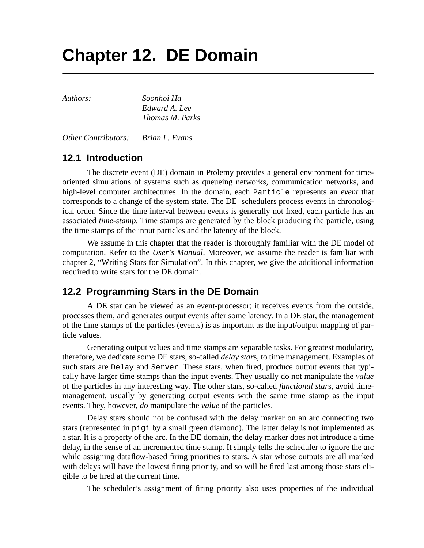# **Chapter 12. DE Domain**

*Authors: Soonhoi Ha Edward A. Lee Thomas M. Parks*

*Other Contributors: Brian L. Evans*

# **12.1 Introduction**

The discrete event (DE) domain in Ptolemy provides a general environment for timeoriented simulations of systems such as queueing networks, communication networks, and high-level computer architectures. In the domain, each Particle represents an *event* that corresponds to a change of the system state. The DE schedulers process events in chronological order. Since the time interval between events is generally not fixed, each particle has an associated *time-stamp*. Time stamps are generated by the block producing the particle, using the time stamps of the input particles and the latency of the block.

We assume in this chapter that the reader is thoroughly familiar with the DE model of computation. Refer to the *User's Manual*. Moreover, we assume the reader is familiar with chapter 2, "Writing Stars for Simulation". In this chapter, we give the additional information required to write stars for the DE domain.

# **12.2 Programming Stars in the DE Domain**

A DE star can be viewed as an event-processor; it receives events from the outside, processes them, and generates output events after some latency. In a DE star, the management of the time stamps of the particles (events) is as important as the input/output mapping of particle values.

Generating output values and time stamps are separable tasks. For greatest modularity, therefore, we dedicate some DE stars, so-called *delay star*s, to time management. Examples of such stars are Delay and Server. These stars, when fired, produce output events that typically have larger time stamps than the input events. They usually do not manipulate the *value* of the particles in any interesting way. The other stars, so-called *functional star*s, avoid timemanagement, usually by generating output events with the same time stamp as the input events. They, however, *do* manipulate the *value* of the particles.

Delay stars should not be confused with the delay marker on an arc connecting two stars (represented in pigi by a small green diamond). The latter delay is not implemented as a star. It is a property of the arc. In the DE domain, the delay marker does not introduce a time delay, in the sense of an incremented time stamp. It simply tells the scheduler to ignore the arc while assigning dataflow-based firing priorities to stars. A star whose outputs are all marked with delays will have the lowest firing priority, and so will be fired last among those stars eligible to be fired at the current time.

The scheduler's assignment of firing priority also uses properties of the individual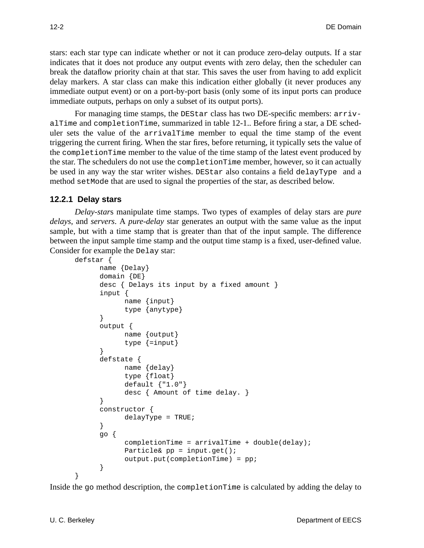stars: each star type can indicate whether or not it can produce zero-delay outputs. If a star indicates that it does not produce any output events with zero delay, then the scheduler can break the dataflow priority chain at that star. This saves the user from having to add explicit delay markers. A star class can make this indication either globally (it never produces any immediate output event) or on a port-by-port basis (only some of its input ports can produce immediate outputs, perhaps on only a subset of its output ports).

For managing time stamps, the DEStar class has two DE-specific members: arrivalTime and completionTime, summarized in table 12-1.. Before firing a star, a DE scheduler sets the value of the arrivalTime member to equal the time stamp of the event triggering the current firing. When the star fires, before returning, it typically sets the value of the completionTime member to the value of the time stamp of the latest event produced by the star. The schedulers do not use the completionTime member, however, so it can actually be used in any way the star writer wishes. DEStar also contains a field delayType and a method set Mode that are used to signal the properties of the star, as described below.

#### **12.2.1 Delay stars**

*Delay-star*s manipulate time stamps. Two types of examples of delay stars are *pure delays*, and *servers*. A *pure-delay* star generates an output with the same value as the input sample, but with a time stamp that is greater than that of the input sample. The difference between the input sample time stamp and the output time stamp is a fixed, user-defined value. Consider for example the Delay star:

```
defstar {
```

```
name {Delay}
domain {DE}
desc { Delays its input by a fixed amount }
input {
      name {input}
      type {anytype}
}
output {
      name {output}
      type {=input}
}
defstate {
      name {delay}
      type {float}
      default {"1.0"}
      desc { Amount of time delay. }
}
constructor {
      delayType = TRUE;
}
go {
      completionTime = arrivalTime + double(delay);Particle& pp = input.get();
      output.put(completionTime) = pp;
}
```
Inside the go method description, the completionTime is calculated by adding the delay to

}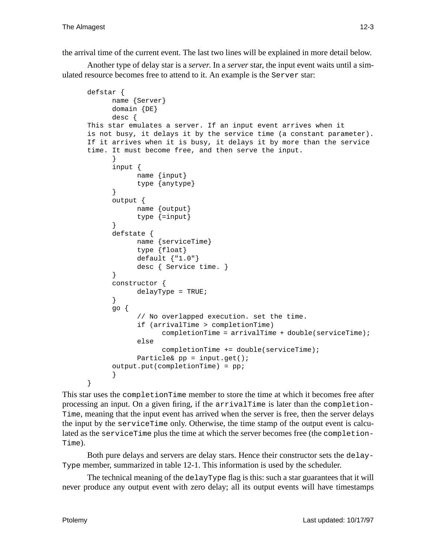the arrival time of the current event. The last two lines will be explained in more detail below.

Another type of delay star is a *server*. In a *server* star, the input event waits until a simulated resource becomes free to attend to it. An example is the Server star:

```
defstar {
      name {Server}
      domain {DE}
      desc {
This star emulates a server. If an input event arrives when it
is not busy, it delays it by the service time (a constant parameter).
If it arrives when it is busy, it delays it by more than the service
time. It must become free, and then serve the input.
      }
      input {
            name {input}
            type {anytype}
      }
      output {
            name {output}
            type {=input}
      }
      defstate {
            name {serviceTime}
            type {float}
            default {"1.0"}
            desc { Service time. }
      }
      constructor {
            delayType = TRUE;
      }
      go {
            // No overlapped execution. set the time.
            if (arrivalTime > completionTime)
                  complectionTime = arrivalTime + double(servative);
            else
                  completionTime += double(serviceTime);
            Particle& pp = input.get();
      output.put(completionTime) = pp;
      }
}
```
This star uses the completionTime member to store the time at which it becomes free after processing an input. On a given firing, if the arrivalTime is later than the completion-Time, meaning that the input event has arrived when the server is free, then the server delays the input by the serviceTime only. Otherwise, the time stamp of the output event is calculated as the serviceTime plus the time at which the server becomes free (the completion-Time).

Both pure delays and servers are delay stars. Hence their constructor sets the delay-Type member, summarized in table 12-1. This information is used by the scheduler.

The technical meaning of the delayType flag is this: such a star guarantees that it will never produce any output event with zero delay; all its output events will have timestamps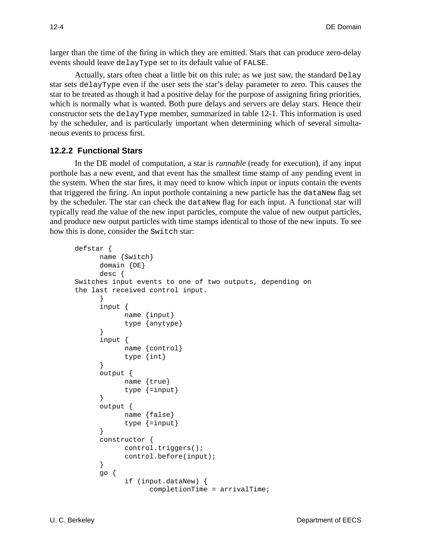larger than the time of the firing in which they are emitted. Stars that can produce zero-delay events should leave delayType set to its default value of FALSE.

Actually, stars often cheat a little bit on this rule; as we just saw, the standard Delay star sets delayType even if the user sets the star's delay parameter to zero. This causes the star to be treated as though it had a positive delay for the purpose of assigning firing priorities, which is normally what is wanted. Both pure delays and servers are delay stars. Hence their constructor sets the delayType member, summarized in table 12-1. This information is used by the scheduler, and is particularly important when determining which of several simultaneous events to process first.

## **12.2.2 Functional Stars**

In the DE model of computation, a star is *runnable* (ready for execution), if any input porthole has a new event, and that event has the smallest time stamp of any pending event in the system. When the star fires, it may need to know which input or inputs contain the events that triggered the firing. An input porthole containing a new particle has the dataNew flag set by the scheduler. The star can check the dataNew flag for each input. A functional star will typically read the value of the new input particles, compute the value of new output particles, and produce new output particles with time stamps identical to those of the new inputs. To see how this is done, consider the Switch star:

```
defstar {
      name {Switch}
      domain {DE}
      desc {
Switches input events to one of two outputs, depending on
the last received control input.
      }
      input {
            name {input}
            type {anytype}
      }
      input {
            name {control}
            type {int}
      }
      output {
            name {true}
            type {=input}
      }
      output {
            name {false}
            type {=input}
      }
      constructor {
            control.triggers();
            control.before(input);
      }
      go {
            if (input.dataNew) {
                   completionTime = arrivalTime;
```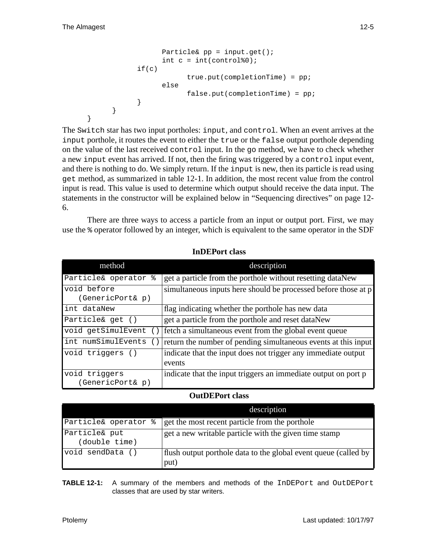}

```
Particle& pp = input.get();
            int c = int(control\0);
      if(c)
                  true.put(completionTime) = pp;
            else
                  false.put(completionTime) = pp;
      }
}
```
The Switch star has two input portholes: input, and control. When an event arrives at the input porthole, it routes the event to either the true or the false output porthole depending on the value of the last received control input. In the go method, we have to check whether a new input event has arrived. If not, then the firing was triggered by a control input event, and there is nothing to do. We simply return. If the input is new, then its particle is read using get method, as summarized in table 12-1. In addition, the most recent value from the control input is read. This value is used to determine which output should receive the data input. The statements in the constructor will be explained below in "Sequencing directives" on page 12- 6.

There are three ways to access a particle from an input or output port. First, we may use the % operator followed by an integer, which is equivalent to the same operator in the SDF

| method                            | description                                                             |
|-----------------------------------|-------------------------------------------------------------------------|
| Particle& operator %              | get a particle from the porthole without resetting dataNew              |
| void before<br>(GenericPort& p)   | simultaneous inputs here should be processed before those at p          |
| int dataNew                       | flag indicating whether the porthole has new data                       |
| Particle& get ()                  | get a particle from the porthole and reset dataNew                      |
| void getSimulEvent                | fetch a simultaneous event from the global event queue                  |
| int numSimulEvents                | return the number of pending simultaneous events at this input          |
| void triggers ()                  | indicate that the input does not trigger any immediate output<br>events |
| void triggers<br>(GenericPort& p) | indicate that the input triggers an immediate output on port p          |

 **InDEPort class**

#### **OutDEPort class**

|                                | description                                                             |
|--------------------------------|-------------------------------------------------------------------------|
| Particle& operator %           | get the most recent particle from the porthole                          |
| Particle& put<br>(double time) | get a new writable particle with the given time stamp                   |
| void sendData ()               | flush output porthole data to the global event queue (called by<br>put) |

**TABLE 12-1:** A summary of the members and methods of the InDEPort and OutDEPort classes that are used by star writers.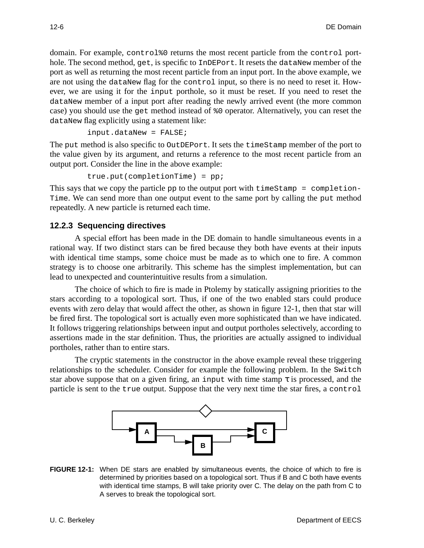domain. For example, control%0 returns the most recent particle from the control porthole. The second method, get, is specific to InDEPort. It resets the dataNew member of the port as well as returning the most recent particle from an input port. In the above example, we are not using the dataNew flag for the control input, so there is no need to reset it. However, we are using it for the input porthole, so it must be reset. If you need to reset the dataNew member of a input port after reading the newly arrived event (the more common case) you should use the get method instead of %0 operator. Alternatively, you can reset the dataNew flag explicitly using a statement like:

input.dataNew = FALSE;

The put method is also specific to OutDEPort. It sets the timeStamp member of the port to the value given by its argument, and returns a reference to the most recent particle from an output port. Consider the line in the above example:

 $true.put(completionTime) = pp;$ 

This says that we copy the particle pp to the output port with timeStamp = completion-Time. We can send more than one output event to the same port by calling the put method repeatedly. A new particle is returned each time.

#### **12.2.3 Sequencing directives**

A special effort has been made in the DE domain to handle simultaneous events in a rational way. If two distinct stars can be fired because they both have events at their inputs with identical time stamps, some choice must be made as to which one to fire. A common strategy is to choose one arbitrarily. This scheme has the simplest implementation, but can lead to unexpected and counterintuitive results from a simulation.

The choice of which to fire is made in Ptolemy by statically assigning priorities to the stars according to a topological sort. Thus, if one of the two enabled stars could produce events with zero delay that would affect the other, as shown in figure 12-1, then that star will be fired first. The topological sort is actually even more sophisticated than we have indicated. It follows triggering relationships between input and output portholes selectively, according to assertions made in the star definition. Thus, the priorities are actually assigned to individual portholes, rather than to entire stars.

The cryptic statements in the constructor in the above example reveal these triggering relationships to the scheduler. Consider for example the following problem. In the Switch star above suppose that on a given firing, an input with time stamp  $\tau$  is processed, and the particle is sent to the true output. Suppose that the very next time the star fires, a control



**FIGURE 12-1:** When DE stars are enabled by simultaneous events, the choice of which to fire is determined by priorities based on a topological sort. Thus if B and C both have events with identical time stamps, B will take priority over C. The delay on the path from C to A serves to break the topological sort.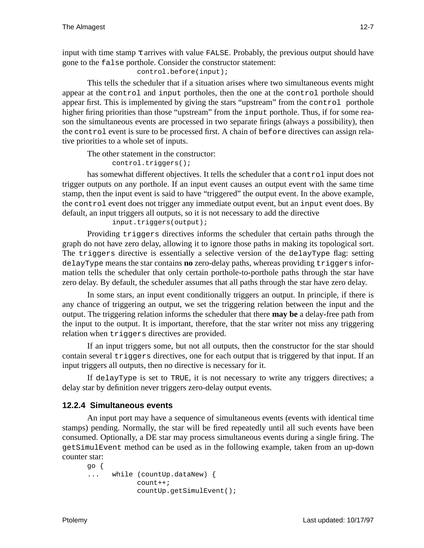input with time stamp  $\tau$  arrives with value FALSE. Probably, the previous output should have gone to the false porthole. Consider the constructor statement:

control.before(input);

This tells the scheduler that if a situation arises where two simultaneous events might appear at the control and input portholes, then the one at the control porthole should appear first. This is implemented by giving the stars "upstream" from the control porthole higher firing priorities than those "upstream" from the input porthole. Thus, if for some reason the simultaneous events are processed in two separate firings (always a possibility), then the control event is sure to be processed first. A chain of before directives can assign relative priorities to a whole set of inputs.

The other statement in the constructor:

control.triggers();

has somewhat different objectives. It tells the scheduler that a control input does not trigger outputs on any porthole. If an input event causes an output event with the same time stamp, then the input event is said to have "triggered" the output event. In the above example, the control event does not trigger any immediate output event, but an input event does. By default, an input triggers all outputs, so it is not necessary to add the directive

input.triggers(output);

Providing triggers directives informs the scheduler that certain paths through the graph do not have zero delay, allowing it to ignore those paths in making its topological sort. The triggers directive is essentially a selective version of the delayType flag: setting delayType means the star contains **no** zero-delay paths, whereas providing triggers information tells the scheduler that only certain porthole-to-porthole paths through the star have zero delay. By default, the scheduler assumes that all paths through the star have zero delay.

In some stars, an input event conditionally triggers an output. In principle, if there is any chance of triggering an output, we set the triggering relation between the input and the output. The triggering relation informs the scheduler that there **may be** a delay-free path from the input to the output. It is important, therefore, that the star writer not miss any triggering relation when triggers directives are provided.

If an input triggers some, but not all outputs, then the constructor for the star should contain several triggers directives, one for each output that is triggered by that input. If an input triggers all outputs, then no directive is necessary for it.

If delayType is set to TRUE, it is not necessary to write any triggers directives; a delay star by definition never triggers zero-delay output events.

### **12.2.4 Simultaneous events**

An input port may have a sequence of simultaneous events (events with identical time stamps) pending. Normally, the star will be fired repeatedly until all such events have been consumed. Optionally, a DE star may process simultaneous events during a single firing. The getSimulEvent method can be used as in the following example, taken from an up-down counter star:

```
go {
... while (countUp.dataNew) {
           count++;
            countUp.getSimulEvent();
```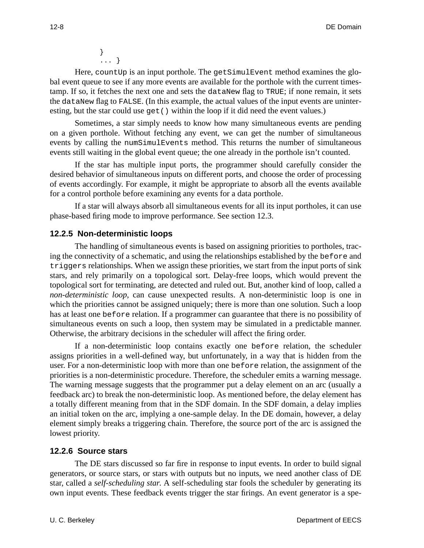} ... }

Here, countUp is an input porthole. The getSimulEvent method examines the global event queue to see if any more events are available for the porthole with the current timestamp. If so, it fetches the next one and sets the dataNew flag to TRUE; if none remain, it sets the dataNew flag to FALSE. (In this example, the actual values of the input events are uninteresting, but the star could use get () within the loop if it did need the event values.)

Sometimes, a star simply needs to know how many simultaneous events are pending on a given porthole. Without fetching any event, we can get the number of simultaneous events by calling the numSimulEvents method. This returns the number of simultaneous events still waiting in the global event queue; the one already in the porthole isn't counted.

If the star has multiple input ports, the programmer should carefully consider the desired behavior of simultaneous inputs on different ports, and choose the order of processing of events accordingly. For example, it might be appropriate to absorb all the events available for a control porthole before examining any events for a data porthole.

If a star will always absorb all simultaneous events for all its input portholes, it can use phase-based firing mode to improve performance. See section 12.3.

### **12.2.5 Non-deterministic loops**

The handling of simultaneous events is based on assigning priorities to portholes, tracing the connectivity of a schematic, and using the relationships established by the before and triggers relationships. When we assign these priorities, we start from the input ports of sink stars, and rely primarily on a topological sort. Delay-free loops, which would prevent the topological sort for terminating, are detected and ruled out. But, another kind of loop, called a *non-deterministic loop*, can cause unexpected results. A non-deterministic loop is one in which the priorities cannot be assigned uniquely; there is more than one solution. Such a loop has at least one before relation. If a programmer can guarantee that there is no possibility of simultaneous events on such a loop, then system may be simulated in a predictable manner. Otherwise, the arbitrary decisions in the scheduler will affect the firing order.

If a non-deterministic loop contains exactly one before relation, the scheduler assigns priorities in a well-defined way, but unfortunately, in a way that is hidden from the user. For a non-deterministic loop with more than one before relation, the assignment of the priorities is a non-deterministic procedure. Therefore, the scheduler emits a warning message. The warning message suggests that the programmer put a delay element on an arc (usually a feedback arc) to break the non-deterministic loop. As mentioned before, the delay element has a totally different meaning from that in the SDF domain. In the SDF domain, a delay implies an initial token on the arc, implying a one-sample delay. In the DE domain, however, a delay element simply breaks a triggering chain. Therefore, the source port of the arc is assigned the lowest priority.

#### **12.2.6 Source stars**

The DE stars discussed so far fire in response to input events. In order to build signal generators, or source stars, or stars with outputs but no inputs, we need another class of DE star, called a *self-scheduling star*. A self-scheduling star fools the scheduler by generating its own input events. These feedback events trigger the star firings. An event generator is a spe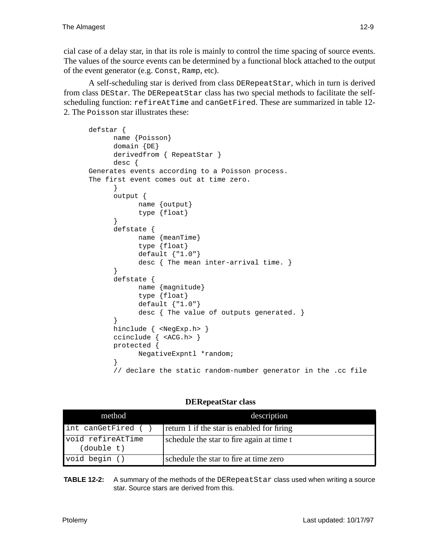cial case of a delay star, in that its role is mainly to control the time spacing of source events. The values of the source events can be determined by a functional block attached to the output of the event generator (e.g. Const*,* Ramp, etc).

A self-scheduling star is derived from class DERepeatStar, which in turn is derived from class DEStar. The DERepeatStar class has two special methods to facilitate the selfscheduling function: refireAtTime and canGetFired. These are summarized in table 12- 2. The Poisson star illustrates these:

```
defstar {
      name {Poisson}
      domain {DE}
      derivedfrom { RepeatStar }
      desc {
Generates events according to a Poisson process.
The first event comes out at time zero.
      }
      output {
            name {output}
            type {float}
      }
      defstate {
            name {meanTime}
            type {float}
            default {"1.0"}
            desc { The mean inter-arrival time. }
      }
      defstate {
            name {magnitude}
            type {float}
            default {"1.0"}
            desc { The value of outputs generated. }
      }
      hinclude { <NegExp.h> }
      ccinclude { <ACG.h> }
      protected {
            NegativeExpntl *random;
      }
      // declare the static random-number generator in the .cc file
```
### **DERepeatStar class**

| method                          | description                                |
|---------------------------------|--------------------------------------------|
| int canGetFired ()              | return 1 if the star is enabled for firing |
| void refireAtTime<br>(double t) | schedule the star to fire again at time t  |
| void begin ()                   | schedule the star to fire at time zero     |

**TABLE 12-2:** A summary of the methods of the DERepeatStar class used when writing a source star. Source stars are derived from this.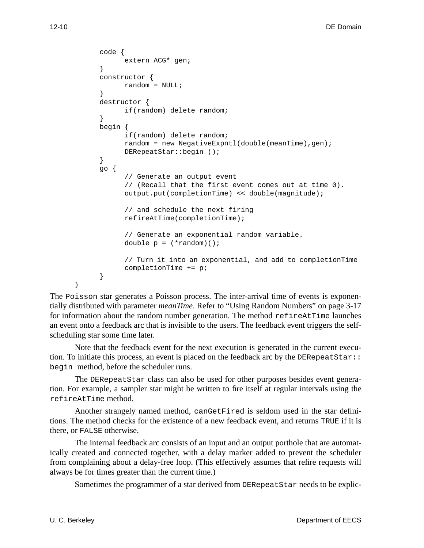```
code {
      extern ACG* gen;
}
constructor {
     random = NULL;
}
destructor {
      if(random) delete random;
}
begin {
      if(random) delete random;
      random = new NegativeExpntl(double(meanTime),gen);
      DERepeatStar::begin ();
}
go {
      // Generate an output event
      // (Recall that the first event comes out at time 0).
      output.put(completionTime) << double(magnitude);
      // and schedule the next firing
      refireAtTime(completionTime);
      // Generate an exponential random variable.
      double p = (*random)( ;
      // Turn it into an exponential, and add to completionTime
      completionTime += p;
}
```
The Poisson star generates a Poisson process. The inter-arrival time of events is exponentially distributed with parameter *meanTime*. Refer to "Using Random Numbers" on page 3-17 for information about the random number generation. The method refireAtTime launches an event onto a feedback arc that is invisible to the users. The feedback event triggers the selfscheduling star some time later.

Note that the feedback event for the next execution is generated in the current execution. To initiate this process, an event is placed on the feedback arc by the DERepeatStar:: begin method, before the scheduler runs.

The DERepeatStar class can also be used for other purposes besides event generation. For example, a sampler star might be written to fire itself at regular intervals using the refireAtTime method.

Another strangely named method, canGetFired is seldom used in the star definitions. The method checks for the existence of a new feedback event, and returns TRUE if it is there, or FALSE otherwise.

The internal feedback arc consists of an input and an output porthole that are automatically created and connected together, with a delay marker added to prevent the scheduler from complaining about a delay-free loop. (This effectively assumes that refire requests will always be for times greater than the current time.)

Sometimes the programmer of a star derived from DERepeatStar needs to be explic-

}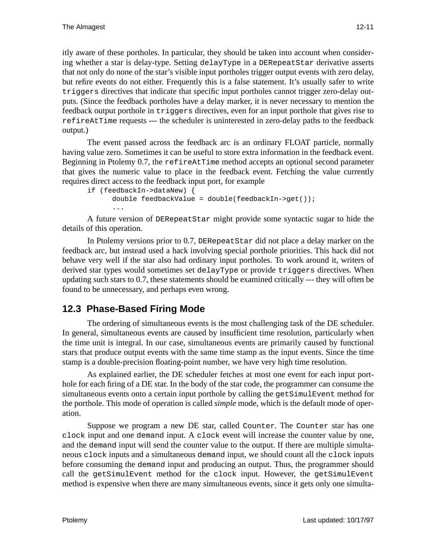itly aware of these portholes. In particular, they should be taken into account when considering whether a star is delay-type. Setting delayType in a DERepeatStar derivative asserts that not only do none of the star's visible input portholes trigger output events with zero delay, but refire events do not either. Frequently this is a false statement. It's usually safer to write triggers directives that indicate that specific input portholes cannot trigger zero-delay outputs. (Since the feedback portholes have a delay marker, it is never necessary to mention the feedback output porthole in triggers directives, even for an input porthole that gives rise to refireAtTime requests --- the scheduler is uninterested in zero-delay paths to the feedback output.)

The event passed across the feedback arc is an ordinary FLOAT particle, normally having value zero. Sometimes it can be useful to store extra information in the feedback event. Beginning in Ptolemy 0.7, the refireAtTime method accepts an optional second parameter that gives the numeric value to place in the feedback event. Fetching the value currently requires direct access to the feedback input port, for example

```
if (feedbackIn->dataNew) {
      double feedbackValue = double(feedbackIn->get());
      ...
```
A future version of DERepeatStar might provide some syntactic sugar to hide the details of this operation.

In Ptolemy versions prior to 0.7, DERepeatStar did not place a delay marker on the feedback arc, but instead used a hack involving special porthole priorities. This hack did not behave very well if the star also had ordinary input portholes. To work around it, writers of derived star types would sometimes set delayType or provide triggers directives. When updating such stars to 0.7, these statements should be examined critically --- they will often be found to be unnecessary, and perhaps even wrong.

# **12.3 Phase-Based Firing Mode**

The ordering of simultaneous events is the most challenging task of the DE scheduler. In general, simultaneous events are caused by insufficient time resolution, particularly when the time unit is integral. In our case, simultaneous events are primarily caused by functional stars that produce output events with the same time stamp as the input events. Since the time stamp is a double-precision floating-point number, we have very high time resolution.

As explained earlier, the DE scheduler fetches at most one event for each input porthole for each firing of a DE star. In the body of the star code, the programmer can consume the simultaneous events onto a certain input porthole by calling the getSimulEvent method for the porthole. This mode of operation is called *simple* mode, which is the default mode of operation.

Suppose we program a new DE star, called Counter. The Counter star has one clock input and one demand input. A clock event will increase the counter value by one, and the demand input will send the counter value to the output. If there are multiple simultaneous clock inputs and a simultaneous demand input, we should count all the clock inputs before consuming the demand input and producing an output. Thus, the programmer should call the getSimulEvent method for the clock input. However, the getSimulEvent method is expensive when there are many simultaneous events, since it gets only one simulta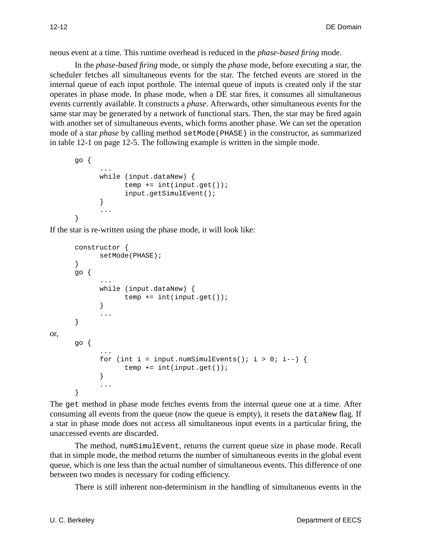neous event at a time. This runtime overhead is reduced in the *phase-based firing* mode.

In the *phase-based firing* mode, or simply the *phase* mode, before executing a star, the scheduler fetches all simultaneous events for the star. The fetched events are stored in the internal queue of each input porthole. The internal queue of inputs is created only if the star operates in phase mode. In phase mode, when a DE star fires, it consumes all simultaneous events currently available. It constructs a *phase*. Afterwards, other simultaneous events for the same star may be generated by a network of functional stars. Then, the star may be fired again with another set of simultaneous events, which forms another phase. We can set the operation mode of a star *phase* by calling method setMode(PHASE) in the constructor, as summarized in table 12-1 on page 12-5. The following example is written in the simple mode.

```
go {
      ...
      while (input.dataNew) {
            temp += int(input.get());
            input.getSimulEvent();
      }
      ...
}
```
If the star is re-written using the phase mode, it will look like:

```
constructor {
            setMode(PHASE);
      }
      go {
             ...
            while (input.dataNew) {
                 temp += int(input.get());
             }
             ...
      }
or,
      go {
             ...
             for (int i = input.numSimulEvents(); i > 0; i--) {
                   temp += int(input.get());
             }
             ...
      }
```
The get method in phase mode fetches events from the internal queue one at a time. After consuming all events from the queue (now the queue is empty), it resets the dataNew flag. If a star in phase mode does not access all simultaneous input events in a particular firing, the unaccessed events are discarded.

The method, numSimulEvent, returns the current queue size in phase mode. Recall that in simple mode, the method returns the number of simultaneous events in the global event queue, which is one less than the actual number of simultaneous events. This difference of one between two modes is necessary for coding efficiency.

There is still inherent non-determinism in the handling of simultaneous events in the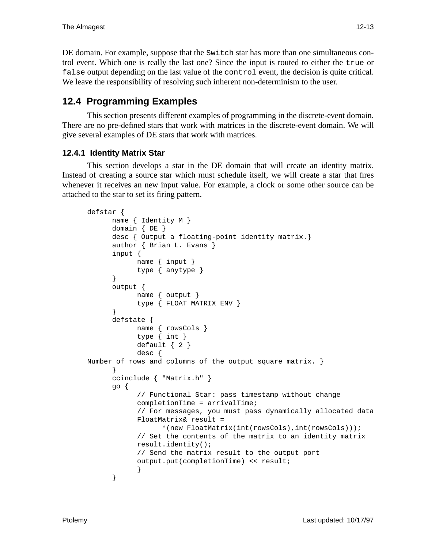DE domain. For example, suppose that the Switch star has more than one simultaneous control event. Which one is really the last one? Since the input is routed to either the true or false output depending on the last value of the control event, the decision is quite critical. We leave the responsibility of resolving such inherent non-determinism to the user.

# **12.4 Programming Examples**

This section presents different examples of programming in the discrete-event domain. There are no pre-defined stars that work with matrices in the discrete-event domain. We will give several examples of DE stars that work with matrices.

## **12.4.1 Identity Matrix Star**

This section develops a star in the DE domain that will create an identity matrix. Instead of creating a source star which must schedule itself, we will create a star that fires whenever it receives an new input value. For example, a clock or some other source can be attached to the star to set its firing pattern.

```
defstar {
      name { Identity_M }
      domain { DE }
      desc { Output a floating-point identity matrix.}
      author { Brian L. Evans }
      input {
            name { input }
            type { anytype }
      }
      output {
            name { output }
            type { FLOAT_MATRIX_ENV }
      }
      defstate {
            name { rowsCols }
            type { int }
            default \{ 2 \}desc {
Number of rows and columns of the output square matrix. }
      }
      ccinclude { "Matrix.h" }
      go {
            // Functional Star: pass timestamp without change
            completionTime = arrivalTime;
            // For messages, you must pass dynamically allocated data
            FloatMatrix& result =
                  *(new FloatMatrix(int(rowsCols),int(rowsCols)));
            // Set the contents of the matrix to an identity matrix
            result.identity();
            // Send the matrix result to the output port
            output.put(completionTime) << result;
            }
      }
```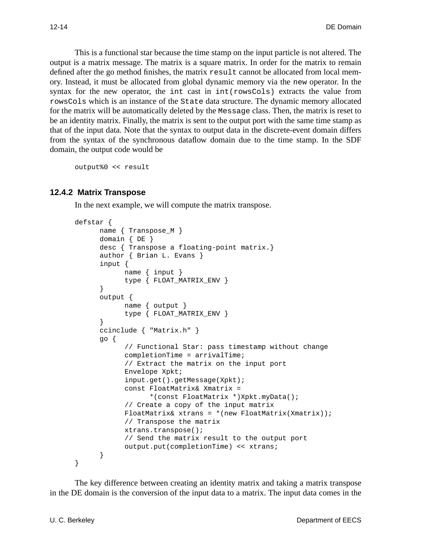This is a functional star because the time stamp on the input particle is not altered. The output is a matrix message. The matrix is a square matrix. In order for the matrix to remain defined after the go method finishes, the matrix result cannot be allocated from local memory. Instead, it must be allocated from global dynamic memory via the new operator. In the syntax for the new operator, the int cast in int(rowsCols) extracts the value from rowsCols which is an instance of the State data structure. The dynamic memory allocated for the matrix will be automatically deleted by the Message class. Then, the matrix is reset to be an identity matrix. Finally, the matrix is sent to the output port with the same time stamp as that of the input data. Note that the syntax to output data in the discrete-event domain differs from the syntax of the synchronous dataflow domain due to the time stamp. In the SDF domain, the output code would be

output%0 << result

#### **12.4.2 Matrix Transpose**

In the next example, we will compute the matrix transpose.

```
defstar {
      name { Transpose_M }
      domain { DE }
      desc { Transpose a floating-point matrix.}
      author { Brian L. Evans }
      input {
           name { input }
            type { FLOAT_MATRIX_ENV }
      }
      output {
            name { output }
            type { FLOAT MATRIX ENV }
      }
      ccinclude { "Matrix.h" }
      go {
            // Functional Star: pass timestamp without change
            completionTime = arrivalTime;
            // Extract the matrix on the input port
            Envelope Xpkt;
            input.get().getMessage(Xpkt);
            const FloatMatrix& Xmatrix =
                  *(const FloatMatrix *)Xpkt.myData();
            // Create a copy of the input matrix
            FloatMatrix& xtrans = *(new FloatMatrix(Xmatrix));
            // Transpose the matrix
            xtrans.transpose();
            // Send the matrix result to the output port
            output.put(completionTime) << xtrans;
      }
}
```
The key difference between creating an identity matrix and taking a matrix transpose in the DE domain is the conversion of the input data to a matrix. The input data comes in the